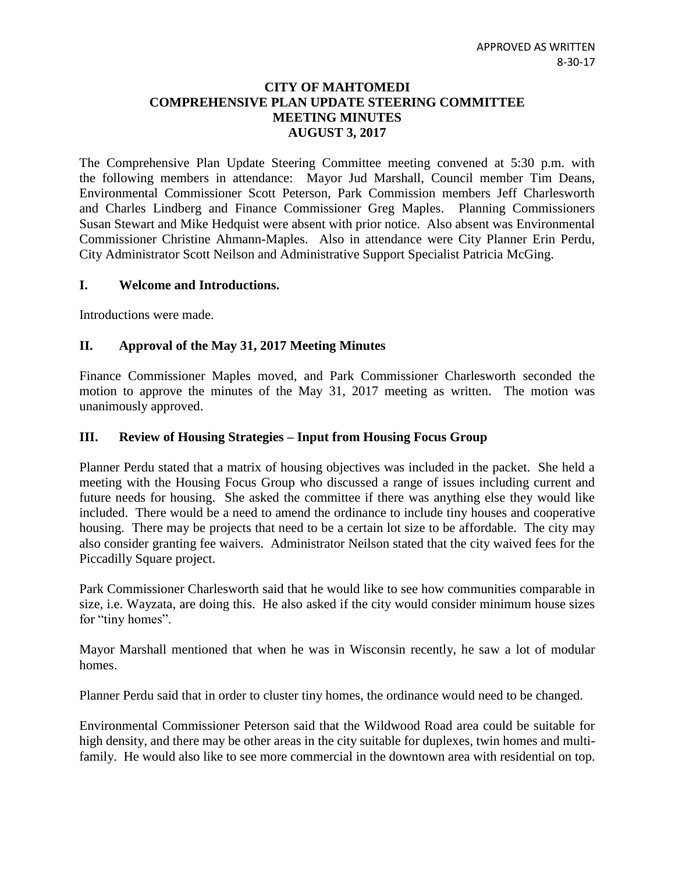### **CITY OF MAHTOMEDI COMPREHENSIVE PLAN UPDATE STEERING COMMITTEE MEETING MINUTES AUGUST 3, 2017**

The Comprehensive Plan Update Steering Committee meeting convened at 5:30 p.m. with the following members in attendance: Mayor Jud Marshall, Council member Tim Deans, Environmental Commissioner Scott Peterson, Park Commission members Jeff Charlesworth and Charles Lindberg and Finance Commissioner Greg Maples. Planning Commissioners Susan Stewart and Mike Hedquist were absent with prior notice. Also absent was Environmental Commissioner Christine Ahmann-Maples. Also in attendance were City Planner Erin Perdu, City Administrator Scott Neilson and Administrative Support Specialist Patricia McGing.

#### **I. Welcome and Introductions.**

Introductions were made.

## **II. Approval of the May 31, 2017 Meeting Minutes**

Finance Commissioner Maples moved, and Park Commissioner Charlesworth seconded the motion to approve the minutes of the May 31, 2017 meeting as written. The motion was unanimously approved.

#### **III. Review of Housing Strategies – Input from Housing Focus Group**

Planner Perdu stated that a matrix of housing objectives was included in the packet. She held a meeting with the Housing Focus Group who discussed a range of issues including current and future needs for housing. She asked the committee if there was anything else they would like included. There would be a need to amend the ordinance to include tiny houses and cooperative housing. There may be projects that need to be a certain lot size to be affordable. The city may also consider granting fee waivers. Administrator Neilson stated that the city waived fees for the Piccadilly Square project.

Park Commissioner Charlesworth said that he would like to see how communities comparable in size, i.e. Wayzata, are doing this. He also asked if the city would consider minimum house sizes for "tiny homes".

Mayor Marshall mentioned that when he was in Wisconsin recently, he saw a lot of modular homes.

Planner Perdu said that in order to cluster tiny homes, the ordinance would need to be changed.

Environmental Commissioner Peterson said that the Wildwood Road area could be suitable for high density, and there may be other areas in the city suitable for duplexes, twin homes and multifamily. He would also like to see more commercial in the downtown area with residential on top.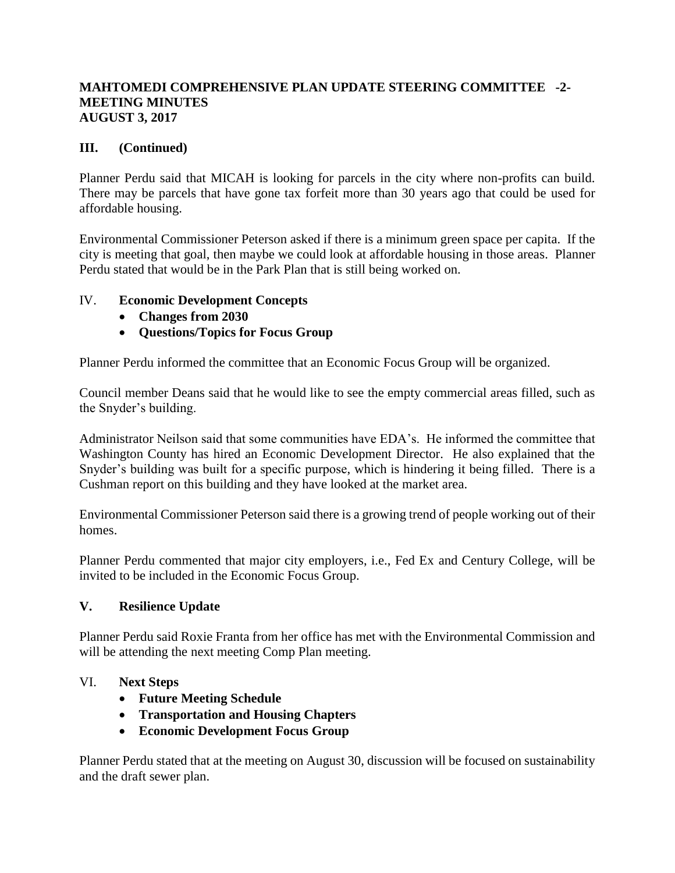## **MAHTOMEDI COMPREHENSIVE PLAN UPDATE STEERING COMMITTEE -2- MEETING MINUTES AUGUST 3, 2017**

# **III. (Continued)**

Planner Perdu said that MICAH is looking for parcels in the city where non-profits can build. There may be parcels that have gone tax forfeit more than 30 years ago that could be used for affordable housing.

Environmental Commissioner Peterson asked if there is a minimum green space per capita. If the city is meeting that goal, then maybe we could look at affordable housing in those areas. Planner Perdu stated that would be in the Park Plan that is still being worked on.

# IV. **Economic Development Concepts**

- **Changes from 2030**
- **Questions/Topics for Focus Group**

Planner Perdu informed the committee that an Economic Focus Group will be organized.

Council member Deans said that he would like to see the empty commercial areas filled, such as the Snyder's building.

Administrator Neilson said that some communities have EDA's. He informed the committee that Washington County has hired an Economic Development Director. He also explained that the Snyder's building was built for a specific purpose, which is hindering it being filled. There is a Cushman report on this building and they have looked at the market area.

Environmental Commissioner Peterson said there is a growing trend of people working out of their homes.

Planner Perdu commented that major city employers, i.e., Fed Ex and Century College, will be invited to be included in the Economic Focus Group.

# **V. Resilience Update**

Planner Perdu said Roxie Franta from her office has met with the Environmental Commission and will be attending the next meeting Comp Plan meeting.

# VI. **Next Steps**

- **Future Meeting Schedule**
- **Transportation and Housing Chapters**
- **Economic Development Focus Group**

Planner Perdu stated that at the meeting on August 30, discussion will be focused on sustainability and the draft sewer plan.